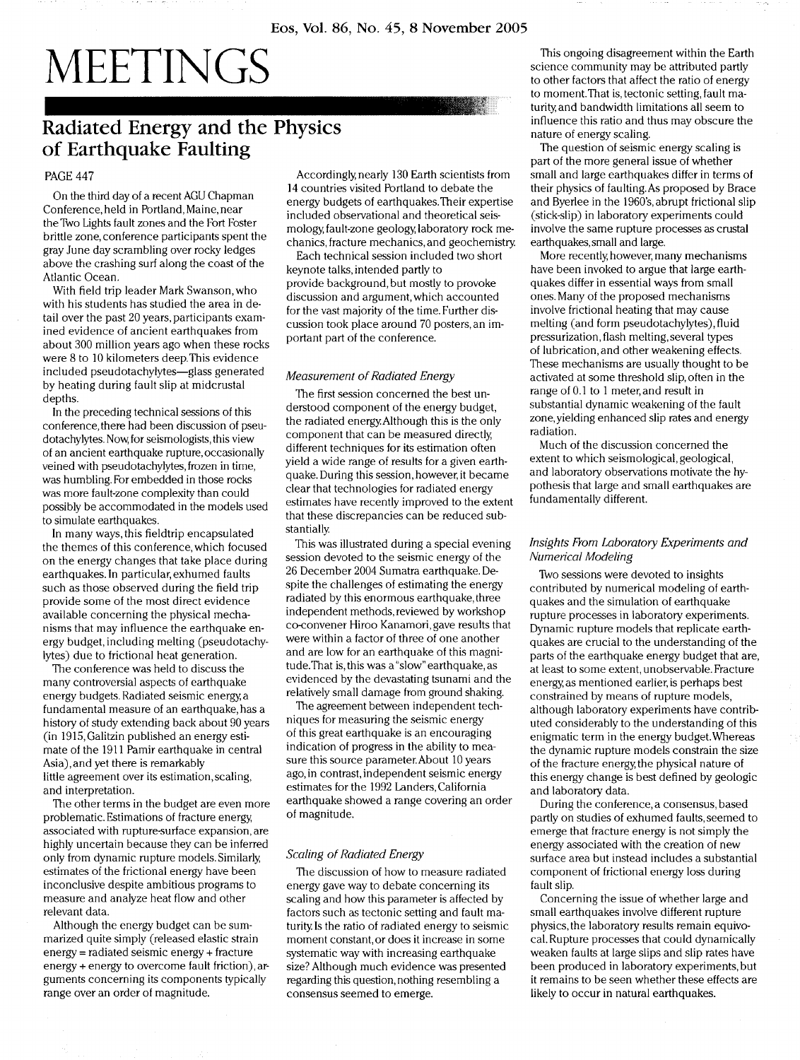# MEETINGS

# Radiated Energy and the Physics of Earthquake Faulting

# **PAGE 447**

On the third day of a recent AGU Chapman Conference, held in Portland, Maine, near the Two Lights fault zones and the Fort Foster brittle zone, conference participants spent the gray June day scrambling over rocky ledges above the crashing surf along the coast of the Atlantic Ocean.

With field trip leader Mark Swanson, who with his students has studied the area in detail over the past 20 years, participants examined evidence of ancient earthquakes from about 300 million years ago when these rocks were 8 to 10 kilometers deep.This evidence included pseudotachylytes—glass generated by heating during fault slip at midcrustal depths.

In the preceding technical sessions of this conference, there had been discussion of pseudotachylytes. Now, for seismologists, this view of an ancient earthquake rupture, occasionally veined with pseudotachylytes, frozen in time, was humbling. For embedded in those rocks was more fault-zone complexity than could possibly be accommodated in the models used to simulate earthquakes.

In many ways, this fieldtrip encapsulated the themes of this conference, which focused on the energy changes that take place during earthquakes. In particular, exhumed faults such as those observed during the field trip provide some of the most direct evidence available concerning the physical mechanisms that may influence the earthquake energy budget, including melting (pseudotachylytes) due to frictional heat generation.

The conference was held to discuss the many controversial aspects of earthquake energy budgets. Radiated seismic energy, a fundamental measure of an earthquake, has a history of study extending back about 90 years (in 1915,Galitzin published an energy estimate of the 1911 Pamir earthquake in central Asia),and yet there is remarkably little agreement over its estimation, scaling, and interpretation.

The other terms in the budget are even more problematic. Estimations of fracture energy, associated with rupture-surface expansion, are highly uncertain because they can be inferred only from dynamic rupture models. Similarly, estimates of the frictional energy have been inconclusive despite ambitious programs to measure and analyze heat flow and other relevant data.

Although the energy budget can be summarized quite simply (released elastic strain energy = radiated seismic energy + fracture energy + energy to overcome fault friction), arguments concerning its components typically range over an order of magnitude.

Accordingly, nearly 130 Earth scientists from 14 countries visited Portland to debate the energy budgets of earthquakes.Their expertise included observational and theoretical seismology, fault-zone geology, laboratory rock mechanics, fracture mechanics, and geochemistry.

Each technical session included two short keynote talks, intended partly to provide background, but mostly to provoke discussion and argument, which accounted for the vast majority of the time. Further discussion took place around 70 posters, an important part of the conference.

## *Measurement of Radiated Energy*

The first session concerned the best understood component of the energy budget, the radiated energy Although this is the only component that can be measured directly different techniques for its estimation often yield a wide range of results for a given earthquake. During this session, however, it became clear that technologies for radiated energy estimates have recently improved to the extent that these discrepancies can be reduced substantially

This was illustrated during a special evening session devoted to the seismic energy of the 26 December 2004 Sumatra earthquake. Despite the challenges of estimating the energy radiated by this enormous earthquake, three independent methods, reviewed by workshop co-convener Hiroo Kanamori,gave results that were within a factor of three of one another and are low for an earthquake of this magnitude.That is, this was a "slow" earthquake, as evidenced by the devastating tsunami and the relatively small damage from ground shaking.

The agreement between independent techniques for measuring the seismic energy of this great earthquake is an encouraging indication of progress in the ability to measure this source parameter. About 10 years ago, in contrast, independent seismic energy estimates for the 1992 Landers, California earthquake showed a range covering an order of magnitude.

#### *Scaling of Radiated Energy*

The discussion of how to measure radiated energy gave way to debate concerning its scaling and how this parameter is affected by factors such as tectonic setting and fault maturity Is the ratio of radiated energy to seismic moment constant, or does it increase in some systematic way with increasing earthquake size? Although much evidence was presented regarding this question, nothing resembling a consensus seemed to emerge.

This ongoing disagreement within the Earth science community may be attributed partly to other factors that affect the ratio of energy to moment.That is, tectonic setting, fault maturity and bandwidth limitations all seem to influence this ratio and thus may obscure the nature of energy scaling.

The question of seismic energy scaling is part of the more general issue of whether small and large earthquakes differ in terms of their physics of faulting. As proposed by Brace and Byerlee in the 1960's, abrupt frictional slip (stick-slip) in laboratory experiments could involve the same rupture processes as crustal earthquakes, small and large.

More recently, however, many mechanisms have been invoked to argue that large earthquakes differ in essential ways from small ones. Many of the proposed mechanisms involve frictional heating that may cause melting (and form pseudotachylytes), fluid pressurization, flash melting, several types of lubrication, and other weakening effects. These mechanisms are usually thought to be activated at some threshold slip, often in the range of 0.1 to 1 meter, and result in substantial dynamic weakening of the fault zone, yielding enhanced slip rates and energy radiation.

Much of the discussion concerned the extent to which seismological, geological, and laboratory observations motivate the hypothesis that large and small earthquakes are fundamentally different.

# *Insights From Laboratory Experiments and Numerical Modeling*

Two sessions were devoted to insights contributed by numerical modeling of earthquakes and the simulation of earthquake rupture processes in laboratory experiments. Dynamic rupture models that replicate earthquakes are crucial to the understanding of the parts of the earthquake energy budget that are, at least to some extent, unobservable. Fracture energy as mentioned earlier, is perhaps best constrained by means of rupture models, although laboratory experiments have contributed considerably to the understanding of this enigmatic term in the energy budget. Whereas the dynamic rupture models constrain the size of the fracture energy, the physical nature of this energy change is best defined by geologic and laboratory data.

During the conference, a consensus, based partly on studies of exhumed faults, seemed to emerge that fracture energy is not simply the energy associated with the creation of new surface area but instead includes a substantial component of frictional energy loss during fault slip.

Concerning the issue of whether large and small earthquakes involve different rupture physics, the laboratory results remain equivocal. Rupture processes that could dynamically weaken faults at large slips and slip rates have been produced in laboratory experiments, but it remains to be seen whether these effects are likely to occur in natural earthquakes.